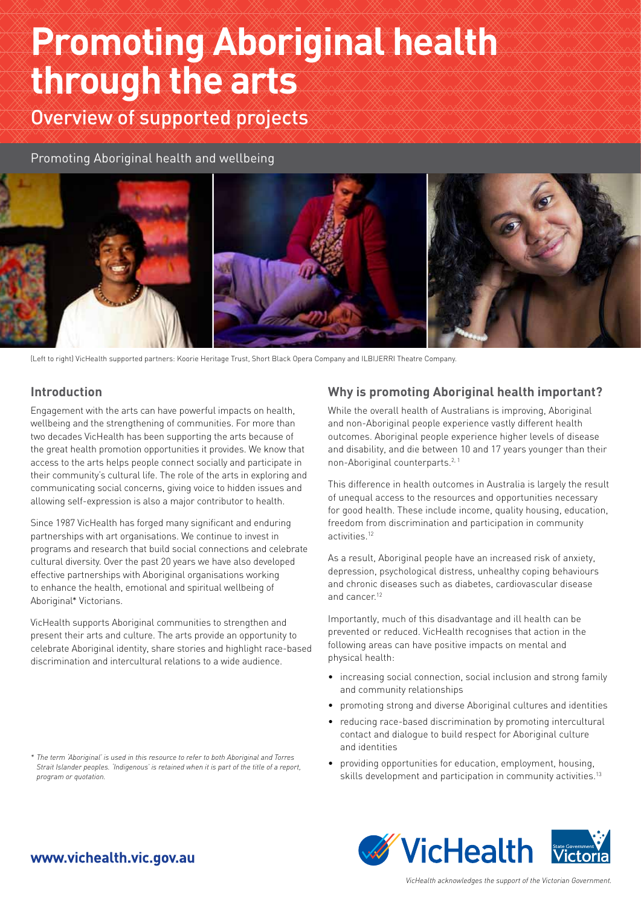# **Promoting Aboriginal health through the arts**

Overview of supported projects

Promoting Aboriginal health and wellbeing



(Left to right) VicHealth supported partners: Koorie Heritage Trust, Short Black Opera Company and ILBIJERRI Theatre Company.

## **Introduction**

Engagement with the arts can have powerful impacts on health, wellbeing and the strengthening of communities. For more than two decades VicHealth has been supporting the arts because of the great health promotion opportunities it provides. We know that access to the arts helps people connect socially and participate in their community's cultural life. The role of the arts in exploring and communicating social concerns, giving voice to hidden issues and allowing self-expression is also a major contributor to health.

Since 1987 VicHealth has forged many significant and enduring partnerships with art organisations. We continue to invest in programs and research that build social connections and celebrate cultural diversity. Over the past 20 years we have also developed effective partnerships with Aboriginal organisations working to enhance the health, emotional and spiritual wellbeing of Aboriginal\* Victorians.

VicHealth supports Aboriginal communities to strengthen and present their arts and culture. The arts provide an opportunity to celebrate Aboriginal identity, share stories and highlight race-based discrimination and intercultural relations to a wide audience.

## **Why is promoting Aboriginal health important?**

While the overall health of Australians is improving, Aboriginal and non-Aboriginal people experience vastly different health outcomes. Aboriginal people experience higher levels of disease and disability, and die between 10 and 17 years younger than their non-Aboriginal counterparts.2, 1

This difference in health outcomes in Australia is largely the result of unequal access to the resources and opportunities necessary for good health. These include income, quality housing, education, freedom from discrimination and participation in community activities.12

As a result, Aboriginal people have an increased risk of anxiety, depression, psychological distress, unhealthy coping behaviours and chronic diseases such as diabetes, cardiovascular disease and cancer<sup>12</sup>

Importantly, much of this disadvantage and ill health can be prevented or reduced. VicHealth recognises that action in the following areas can have positive impacts on mental and physical health:

- increasing social connection, social inclusion and strong family and community relationships
- promoting strong and diverse Aboriginal cultures and identities
- reducing race-based discrimination by promoting intercultural contact and dialogue to build respect for Aboriginal culture and identities
- providing opportunities for education, employment, housing, skills development and participation in community activities.<sup>13</sup>



## www.vichealth.vic.gov.au

*<sup>\*</sup> The term 'Aboriginal' is used in this resource to refer to both Aboriginal and Torres Strait Islander peoples. 'Indigenous' is retained when it is part of the title of a report, program or quotation.*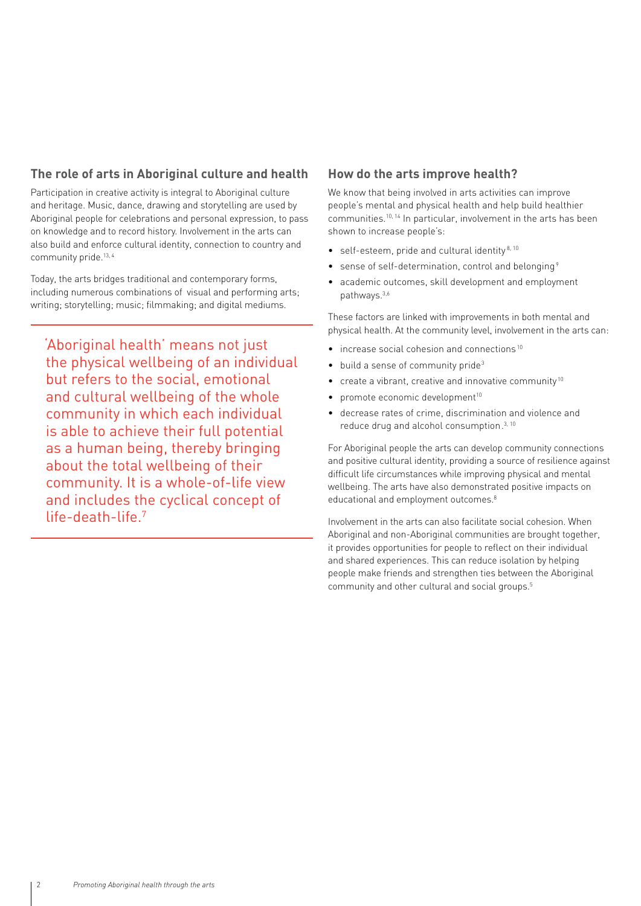## **The role of arts in Aboriginal culture and health**

Participation in creative activity is integral to Aboriginal culture and heritage. Music, dance, drawing and storytelling are used by Aboriginal people for celebrations and personal expression, to pass on knowledge and to record history. Involvement in the arts can also build and enforce cultural identity, connection to country and community pride.<sup>13, 4</sup>

Today, the arts bridges traditional and contemporary forms, including numerous combinations of visual and performing arts; writing; storytelling; music; filmmaking; and digital mediums.

'Aboriginal health' means not just the physical wellbeing of an individual but refers to the social, emotional and cultural wellbeing of the whole community in which each individual is able to achieve their full potential as a human being, thereby bringing about the total wellbeing of their community. It is a whole-of-life view and includes the cyclical concept of life-death-life<sup>7</sup>

## **How do the arts improve health?**

We know that being involved in arts activities can improve people's mental and physical health and help build healthier communities.10, 14 In particular, involvement in the arts has been shown to increase people's:

- self-esteem, pride and cultural identity $8,10$
- sense of self-determination, control and belonging<sup>9</sup>
- academic outcomes, skill development and employment pathways.3,6

These factors are linked with improvements in both mental and physical health. At the community level, involvement in the arts can:

- increase social cohesion and connections<sup>10</sup>
- $\bullet$  build a sense of community pride<sup>3</sup>
- create a vibrant, creative and innovative community<sup>10</sup>
- promote economic development $10$
- decrease rates of crime, discrimination and violence and reduce drug and alcohol consumption.<sup>3, 10</sup>

For Aboriginal people the arts can develop community connections and positive cultural identity, providing a source of resilience against difficult life circumstances while improving physical and mental wellbeing. The arts have also demonstrated positive impacts on educational and employment outcomes.<sup>8</sup>

Involvement in the arts can also facilitate social cohesion. When Aboriginal and non-Aboriginal communities are brought together, it provides opportunities for people to reflect on their individual and shared experiences. This can reduce isolation by helping people make friends and strengthen ties between the Aboriginal community and other cultural and social groups.5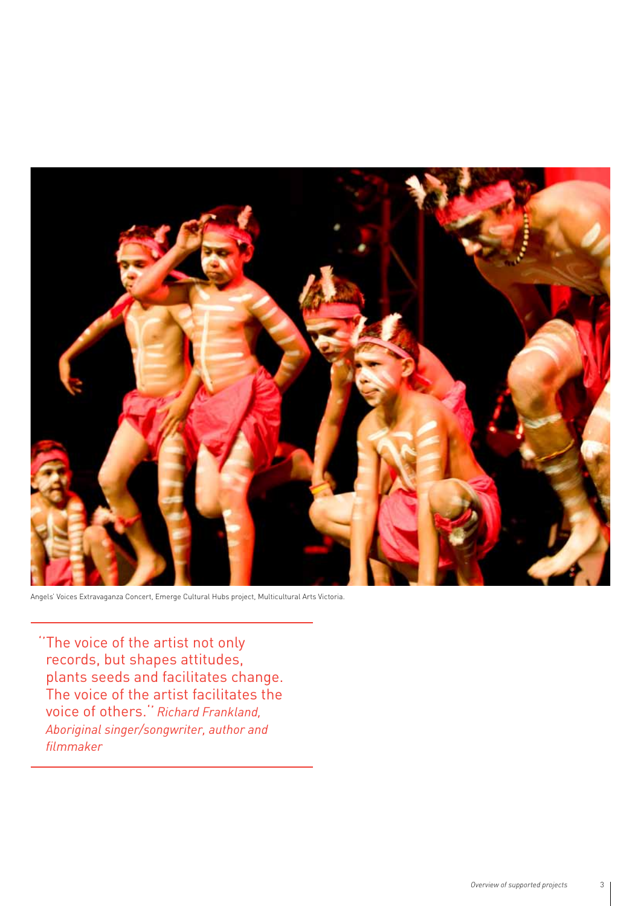

Angels' Voices Extravaganza Concert, Emerge Cultural Hubs project, Multicultural Arts Victoria.

''The voice of the artist not only records, but shapes attitudes, plants seeds and facilitates change. The voice of the artist facilitates the voice of others.'' *Richard Frankland, Aboriginal singer/songwriter, author and filmmaker*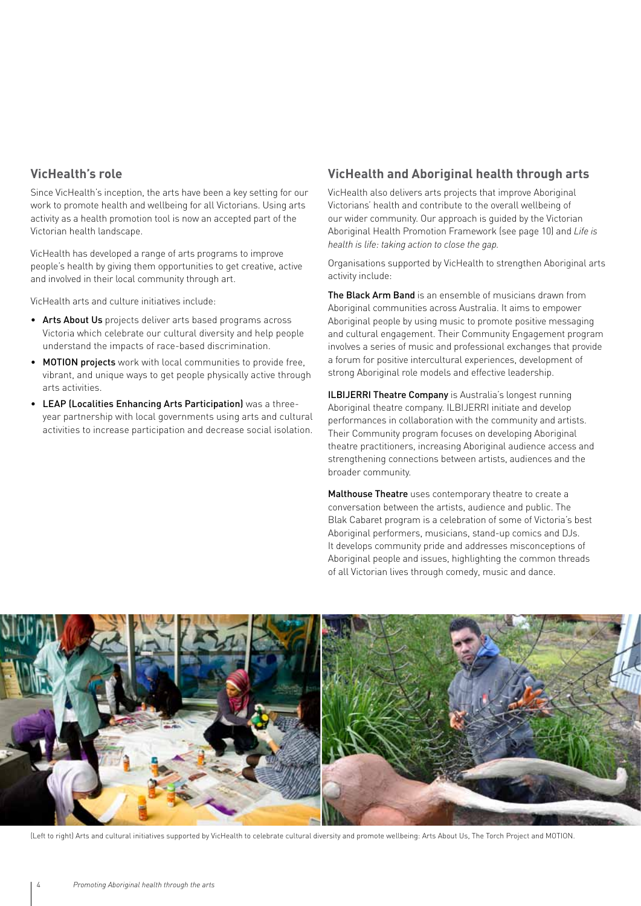## **VicHealth's role**

Since VicHealth's inception, the arts have been a key setting for our work to promote health and wellbeing for all Victorians. Using arts activity as a health promotion tool is now an accepted part of the Victorian health landscape.

VicHealth has developed a range of arts programs to improve people's health by giving them opportunities to get creative, active and involved in their local community through art.

VicHealth arts and culture initiatives include:

- Arts About Us projects deliver arts based programs across Victoria which celebrate our cultural diversity and help people understand the impacts of race-based discrimination.
- MOTION projects work with local communities to provide free, vibrant, and unique ways to get people physically active through arts activities.
- LEAP (Localities Enhancing Arts Participation) was a threeyear partnership with local governments using arts and cultural activities to increase participation and decrease social isolation.

## **VicHealth and Aboriginal health through arts**

VicHealth also delivers arts projects that improve Aboriginal Victorians' health and contribute to the overall wellbeing of our wider community. Our approach is guided by the Victorian Aboriginal Health Promotion Framework (see page 10) and *Life is health is life: taking action to close the gap.* 

Organisations supported by VicHealth to strengthen Aboriginal arts activity include:

The Black Arm Band is an ensemble of musicians drawn from Aboriginal communities across Australia. It aims to empower Aboriginal people by using music to promote positive messaging and cultural engagement. Their Community Engagement program involves a series of music and professional exchanges that provide a forum for positive intercultural experiences, development of strong Aboriginal role models and effective leadership.

ILBIJERRI Theatre Company is Australia's longest running Aboriginal theatre company. ILBIJERRI initiate and develop performances in collaboration with the community and artists. Their Community program focuses on developing Aboriginal theatre practitioners, increasing Aboriginal audience access and strengthening connections between artists, audiences and the broader community.

Malthouse Theatre uses contemporary theatre to create a conversation between the artists, audience and public. The Blak Cabaret program is a celebration of some of Victoria's best Aboriginal performers, musicians, stand-up comics and DJs. It develops community pride and addresses misconceptions of Aboriginal people and issues, highlighting the common threads of all Victorian lives through comedy, music and dance.



(Left to right) Arts and cultural initiatives supported by VicHealth to celebrate cultural diversity and promote wellbeing: Arts About Us, The Torch Project and MOTION.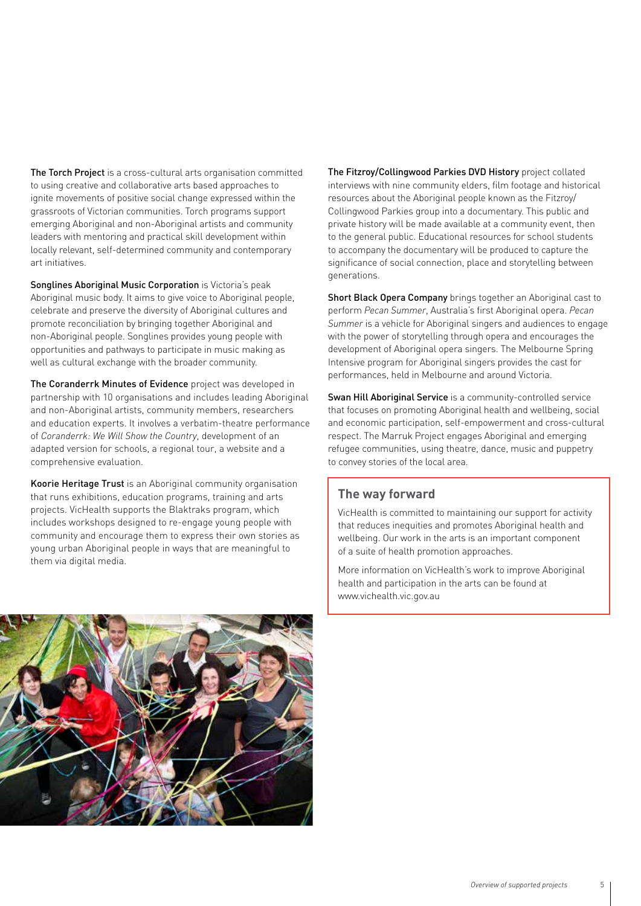The Torch Project is a cross-cultural arts organisation committed to using creative and collaborative arts based approaches to ignite movements of positive social change expressed within the grassroots of Victorian communities. Torch programs support emerging Aboriginal and non-Aboriginal artists and community leaders with mentoring and practical skill development within locally relevant, self-determined community and contemporary art initiatives.

Songlines Aboriginal Music Corporation is Victoria's peak Aboriginal music body. It aims to give voice to Aboriginal people, celebrate and preserve the diversity of Aboriginal cultures and promote reconciliation by bringing together Aboriginal and non-Aboriginal people. Songlines provides young people with opportunities and pathways to participate in music making as well as cultural exchange with the broader community.

The Coranderrk Minutes of Evidence project was developed in partnership with 10 organisations and includes leading Aboriginal and non-Aboriginal artists, community members, researchers and education experts. It involves a verbatim-theatre performance of *Coranderrk: We Will Show the Country*, development of an adapted version for schools, a regional tour, a website and a comprehensive evaluation.

Koorie Heritage Trust is an Aboriginal community organisation that runs exhibitions, education programs, training and arts projects. VicHealth supports the Blaktraks program, which includes workshops designed to re-engage young people with community and encourage them to express their own stories as young urban Aboriginal people in ways that are meaningful to them via digital media.

The Fitzroy/Collingwood Parkies DVD History project collated interviews with nine community elders, film footage and historical resources about the Aboriginal people known as the Fitzroy/ Collingwood Parkies group into a documentary. This public and private history will be made available at a community event, then to the general public. Educational resources for school students to accompany the documentary will be produced to capture the significance of social connection, place and storytelling between generations.

Short Black Opera Company brings together an Aboriginal cast to perform *Pecan Summer*, Australia's first Aboriginal opera. *Pecan Summer* is a vehicle for Aboriginal singers and audiences to engage with the power of storytelling through opera and encourages the development of Aboriginal opera singers. The Melbourne Spring Intensive program for Aboriginal singers provides the cast for performances, held in Melbourne and around Victoria.

Swan Hill Aboriginal Service is a community-controlled service that focuses on promoting Aboriginal health and wellbeing, social and economic participation, self-empowerment and cross-cultural respect. The Marruk Project engages Aboriginal and emerging refugee communities, using theatre, dance, music and puppetry to convey stories of the local area.

### **The way forward**

VicHealth is committed to maintaining our support for activity that reduces inequities and promotes Aboriginal health and wellbeing. Our work in the arts is an important component of a suite of health promotion approaches.

More information on VicHealth's work to improve Aboriginal health and participation in the arts can be found at www.vichealth.vic.gov.au

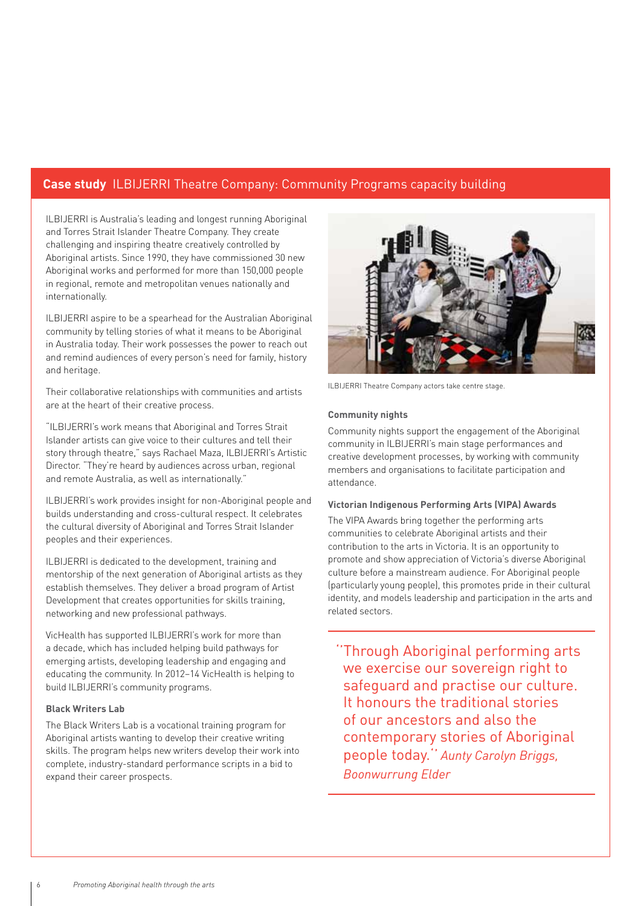## **Case study** ILBIJERRI Theatre Company: Community Programs capacity building

ILBIJERRI is Australia's leading and longest running Aboriginal and Torres Strait Islander Theatre Company. They create challenging and inspiring theatre creatively controlled by Aboriginal artists. Since 1990, they have commissioned 30 new Aboriginal works and performed for more than 150,000 people in regional, remote and metropolitan venues nationally and internationally.

ILBIJERRI aspire to be a spearhead for the Australian Aboriginal community by telling stories of what it means to be Aboriginal in Australia today. Their work possesses the power to reach out and remind audiences of every person's need for family, history and heritage.

Their collaborative relationships with communities and artists are at the heart of their creative process.

"ILBIJERRI's work means that Aboriginal and Torres Strait Islander artists can give voice to their cultures and tell their story through theatre," says Rachael Maza, ILBIJERRI's Artistic Director. "They're heard by audiences across urban, regional and remote Australia, as well as internationally."

ILBIJERRI's work provides insight for non-Aboriginal people and builds understanding and cross-cultural respect. It celebrates the cultural diversity of Aboriginal and Torres Strait Islander peoples and their experiences.

ILBIJERRI is dedicated to the development, training and mentorship of the next generation of Aboriginal artists as they establish themselves. They deliver a broad program of Artist Development that creates opportunities for skills training, networking and new professional pathways.

VicHealth has supported ILBIJERRI's work for more than a decade, which has included helping build pathways for emerging artists, developing leadership and engaging and educating the community. In 2012–14 VicHealth is helping to build ILBIJERRI's community programs.

#### **Black Writers Lab**

The Black Writers Lab is a vocational training program for Aboriginal artists wanting to develop their creative writing skills. The program helps new writers develop their work into complete, industry-standard performance scripts in a bid to expand their career prospects.



ILBIJERRI Theatre Company actors take centre stage.

#### **Community nights**

Community nights support the engagement of the Aboriginal community in ILBIJERRI's main stage performances and creative development processes, by working with community members and organisations to facilitate participation and attendance.

#### **Victorian Indigenous Performing Arts (VIPA) Awards**

The VIPA Awards bring together the performing arts communities to celebrate Aboriginal artists and their contribution to the arts in Victoria. It is an opportunity to promote and show appreciation of Victoria's diverse Aboriginal culture before a mainstream audience. For Aboriginal people (particularly young people), this promotes pride in their cultural identity, and models leadership and participation in the arts and related sectors.

''Through Aboriginal performing arts we exercise our sovereign right to safeguard and practise our culture. It honours the traditional stories of our ancestors and also the contemporary stories of Aboriginal people today.'' *Aunty Carolyn Briggs, Boonwurrung Elder*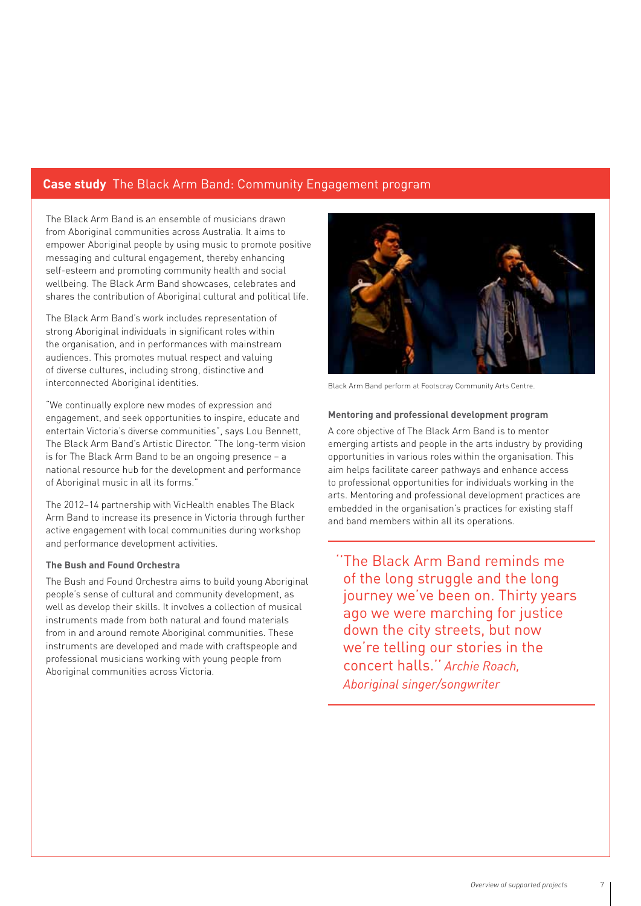## **Case study** The Black Arm Band: Community Engagement program

The Black Arm Band is an ensemble of musicians drawn from Aboriginal communities across Australia. It aims to empower Aboriginal people by using music to promote positive messaging and cultural engagement, thereby enhancing self-esteem and promoting community health and social wellbeing. The Black Arm Band showcases, celebrates and shares the contribution of Aboriginal cultural and political life.

The Black Arm Band's work includes representation of strong Aboriginal individuals in significant roles within the organisation, and in performances with mainstream audiences. This promotes mutual respect and valuing of diverse cultures, including strong, distinctive and interconnected Aboriginal identities.

"We continually explore new modes of expression and engagement, and seek opportunities to inspire, educate and entertain Victoria's diverse communities", says Lou Bennett, The Black Arm Band's Artistic Director. "The long-term vision is for The Black Arm Band to be an ongoing presence – a national resource hub for the development and performance of Aboriginal music in all its forms."

The 2012–14 partnership with VicHealth enables The Black Arm Band to increase its presence in Victoria through further active engagement with local communities during workshop and performance development activities.

#### **The Bush and Found Orchestra**

The Bush and Found Orchestra aims to build young Aboriginal people's sense of cultural and community development, as well as develop their skills. It involves a collection of musical instruments made from both natural and found materials from in and around remote Aboriginal communities. These instruments are developed and made with craftspeople and professional musicians working with young people from Aboriginal communities across Victoria.



Black Arm Band perform at Footscray Community Arts Centre.

#### **Mentoring and professional development program**

A core objective of The Black Arm Band is to mentor emerging artists and people in the arts industry by providing opportunities in various roles within the organisation. This aim helps facilitate career pathways and enhance access to professional opportunities for individuals working in the arts. Mentoring and professional development practices are embedded in the organisation's practices for existing staff and band members within all its operations.

''The Black Arm Band reminds me of the long struggle and the long journey we've been on. Thirty years ago we were marching for justice down the city streets, but now we're telling our stories in the concert halls.'' *Archie Roach, Aboriginal singer/songwriter*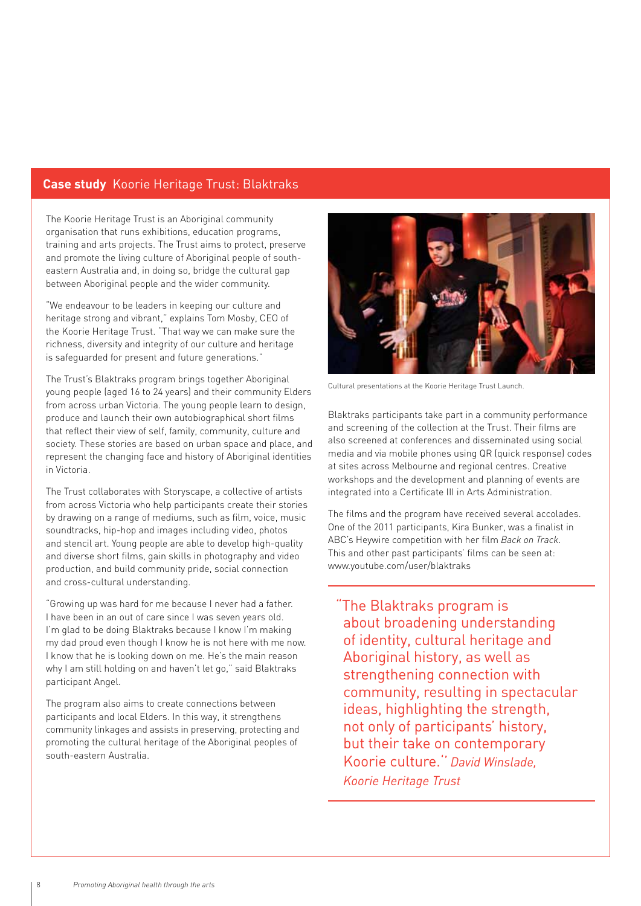## **Case study** Koorie Heritage Trust: Blaktraks

The Koorie Heritage Trust is an Aboriginal community organisation that runs exhibitions, education programs, training and arts projects. The Trust aims to protect, preserve and promote the living culture of Aboriginal people of southeastern Australia and, in doing so, bridge the cultural gap between Aboriginal people and the wider community.

"We endeavour to be leaders in keeping our culture and heritage strong and vibrant," explains Tom Mosby, CEO of the Koorie Heritage Trust. "That way we can make sure the richness, diversity and integrity of our culture and heritage is safeguarded for present and future generations."

The Trust's Blaktraks program brings together Aboriginal young people (aged 16 to 24 years) and their community Elders from across urban Victoria. The young people learn to design, produce and launch their own autobiographical short films that reflect their view of self, family, community, culture and society. These stories are based on urban space and place, and represent the changing face and history of Aboriginal identities in Victoria.

The Trust collaborates with Storyscape, a collective of artists from across Victoria who help participants create their stories by drawing on a range of mediums, such as film, voice, music soundtracks, hip-hop and images including video, photos and stencil art. Young people are able to develop high-quality and diverse short films, gain skills in photography and video production, and build community pride, social connection and cross-cultural understanding.

"Growing up was hard for me because I never had a father. I have been in an out of care since I was seven years old. I'm glad to be doing Blaktraks because I know I'm making my dad proud even though I know he is not here with me now. I know that he is looking down on me. He's the main reason why I am still holding on and haven't let go," said Blaktraks participant Angel.

The program also aims to create connections between participants and local Elders. In this way, it strengthens community linkages and assists in preserving, protecting and promoting the cultural heritage of the Aboriginal peoples of south-eastern Australia.



Cultural presentations at the Koorie Heritage Trust Launch.

Blaktraks participants take part in a community performance and screening of the collection at the Trust. Their films are also screened at conferences and disseminated using social media and via mobile phones using QR (quick response) codes at sites across Melbourne and regional centres. Creative workshops and the development and planning of events are integrated into a Certificate III in Arts Administration.

The films and the program have received several accolades. One of the 2011 participants, Kira Bunker, was a finalist in ABC's Heywire competition with her film *Back on Track*. This and other past participants' films can be seen at: www.youtube.com/user/blaktraks

"The Blaktraks program is about broadening understanding of identity, cultural heritage and Aboriginal history, as well as strengthening connection with community, resulting in spectacular ideas, highlighting the strength, not only of participants' history, but their take on contemporary Koorie culture.'' *David Winslade, Koorie Heritage Trust*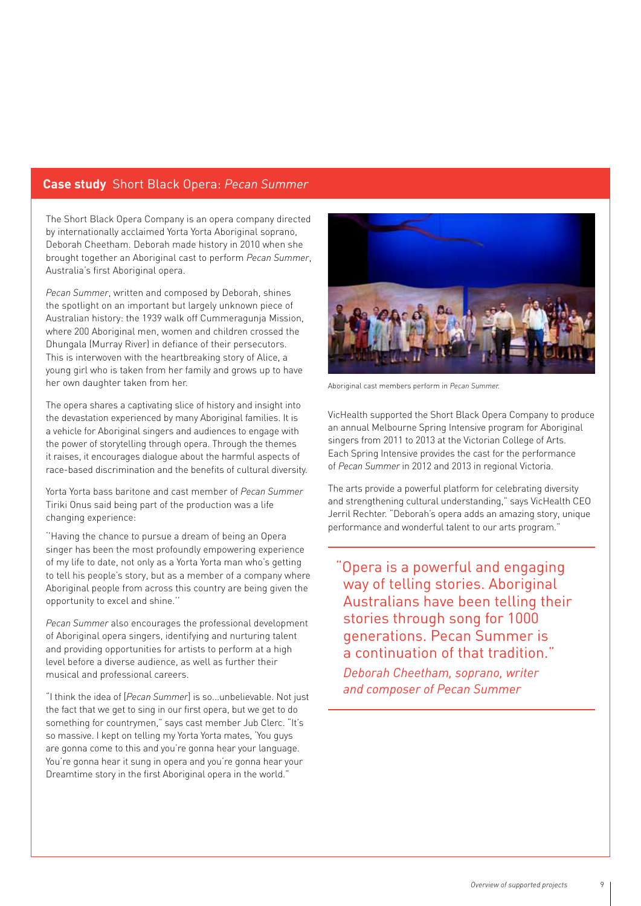### **Case study** Short Black Opera: *Pecan Summer*

The Short Black Opera Company is an opera company directed by internationally acclaimed Yorta Yorta Aboriginal soprano, Deborah Cheetham. Deborah made history in 2010 when she brought together an Aboriginal cast to perform *Pecan Summer*, Australia's first Aboriginal opera.

*Pecan Summer*, written and composed by Deborah, shines the spotlight on an important but largely unknown piece of Australian history: the 1939 walk off Cummeragunja Mission, where 200 Aboriginal men, women and children crossed the Dhungala (Murray River) in defiance of their persecutors. This is interwoven with the heartbreaking story of Alice, a young girl who is taken from her family and grows up to have her own daughter taken from her.

The opera shares a captivating slice of history and insight into the devastation experienced by many Aboriginal families. It is a vehicle for Aboriginal singers and audiences to engage with the power of storytelling through opera. Through the themes it raises, it encourages dialogue about the harmful aspects of race-based discrimination and the benefits of cultural diversity.

Yorta Yorta bass baritone and cast member of *Pecan Summer* Tiriki Onus said being part of the production was a life changing experience:

''Having the chance to pursue a dream of being an Opera singer has been the most profoundly empowering experience of my life to date, not only as a Yorta Yorta man who's getting to tell his people's story, but as a member of a company where Aboriginal people from across this country are being given the opportunity to excel and shine.''

*Pecan Summer* also encourages the professional development of Aboriginal opera singers, identifying and nurturing talent and providing opportunities for artists to perform at a high level before a diverse audience, as well as further their musical and professional careers.

"I think the idea of [*Pecan Summer*] is so...unbelievable. Not just the fact that we get to sing in our first opera, but we get to do something for countrymen," says cast member Jub Clerc. "It's so massive. I kept on telling my Yorta Yorta mates, 'You guys are gonna come to this and you're gonna hear your language. You're gonna hear it sung in opera and you're gonna hear your Dreamtime story in the first Aboriginal opera in the world."



Aboriginal cast members perform in *Pecan Summer.*

VicHealth supported the Short Black Opera Company to produce an annual Melbourne Spring Intensive program for Aboriginal singers from 2011 to 2013 at the Victorian College of Arts. Each Spring Intensive provides the cast for the performance of *Pecan Summer* in 2012 and 2013 in regional Victoria.

The arts provide a powerful platform for celebrating diversity and strengthening cultural understanding," says VicHealth CEO Jerril Rechter. "Deborah's opera adds an amazing story, unique performance and wonderful talent to our arts program."

"Opera is a powerful and engaging way of telling stories. Aboriginal Australians have been telling their stories through song for 1000 generations. Pecan Summer is a continuation of that tradition."

*Deborah Cheetham, soprano, writer and composer of Pecan Summer*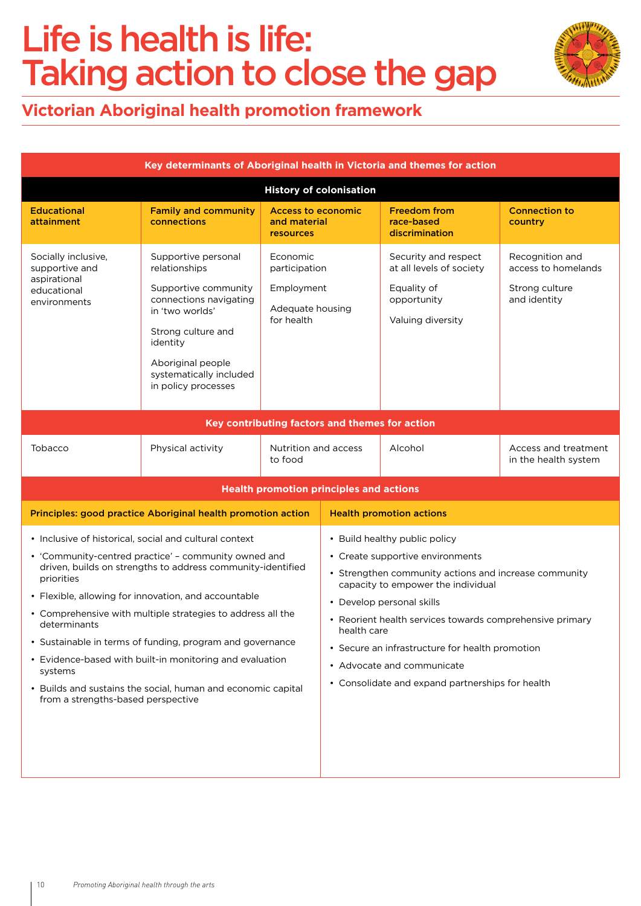## Life is health is life: Taking action to close the gap



## **Victorian Aboriginal health promotion framework**

| Key determinants of Aboriginal health in Victoria and themes for action              |                                                                                                                                                                                                                                                                                                                                                                                                                                                                                               |                                                                           |                                                                                                                                                                                                                                                                                                                                                                                                               |                                                                                                     |                                                                          |  |  |  |  |  |  |
|--------------------------------------------------------------------------------------|-----------------------------------------------------------------------------------------------------------------------------------------------------------------------------------------------------------------------------------------------------------------------------------------------------------------------------------------------------------------------------------------------------------------------------------------------------------------------------------------------|---------------------------------------------------------------------------|---------------------------------------------------------------------------------------------------------------------------------------------------------------------------------------------------------------------------------------------------------------------------------------------------------------------------------------------------------------------------------------------------------------|-----------------------------------------------------------------------------------------------------|--------------------------------------------------------------------------|--|--|--|--|--|--|
| <b>History of colonisation</b>                                                       |                                                                                                                                                                                                                                                                                                                                                                                                                                                                                               |                                                                           |                                                                                                                                                                                                                                                                                                                                                                                                               |                                                                                                     |                                                                          |  |  |  |  |  |  |
| <b>Educational</b><br>attainment                                                     | <b>Family and community</b><br>connections                                                                                                                                                                                                                                                                                                                                                                                                                                                    | <b>Access to economic</b><br>and material<br>resources                    |                                                                                                                                                                                                                                                                                                                                                                                                               | <b>Freedom from</b><br>race-based<br>discrimination                                                 | <b>Connection to</b><br>country                                          |  |  |  |  |  |  |
| Socially inclusive,<br>supportive and<br>aspirational<br>educational<br>environments | Supportive personal<br>relationships<br>Supportive community<br>connections navigating<br>in 'two worlds'<br>Strong culture and<br>identity<br>Aboriginal people<br>systematically included<br>in policy processes                                                                                                                                                                                                                                                                            | Economic<br>participation<br>Employment<br>Adequate housing<br>for health |                                                                                                                                                                                                                                                                                                                                                                                                               | Security and respect<br>at all levels of society<br>Equality of<br>opportunity<br>Valuing diversity | Recognition and<br>access to homelands<br>Strong culture<br>and identity |  |  |  |  |  |  |
| Key contributing factors and themes for action                                       |                                                                                                                                                                                                                                                                                                                                                                                                                                                                                               |                                                                           |                                                                                                                                                                                                                                                                                                                                                                                                               |                                                                                                     |                                                                          |  |  |  |  |  |  |
| Tobacco                                                                              | Physical activity                                                                                                                                                                                                                                                                                                                                                                                                                                                                             | Nutrition and access<br>to food                                           |                                                                                                                                                                                                                                                                                                                                                                                                               | Alcohol                                                                                             | Access and treatment<br>in the health system                             |  |  |  |  |  |  |
| <b>Health promotion principles and actions</b>                                       |                                                                                                                                                                                                                                                                                                                                                                                                                                                                                               |                                                                           |                                                                                                                                                                                                                                                                                                                                                                                                               |                                                                                                     |                                                                          |  |  |  |  |  |  |
|                                                                                      | Principles: good practice Aboriginal health promotion action                                                                                                                                                                                                                                                                                                                                                                                                                                  |                                                                           | <b>Health promotion actions</b>                                                                                                                                                                                                                                                                                                                                                                               |                                                                                                     |                                                                          |  |  |  |  |  |  |
| priorities<br>determinants<br>systems<br>from a strengths-based perspective          | • Inclusive of historical, social and cultural context<br>• 'Community-centred practice' - community owned and<br>driven, builds on strengths to address community-identified<br>• Flexible, allowing for innovation, and accountable<br>• Comprehensive with multiple strategies to address all the<br>• Sustainable in terms of funding, program and governance<br>• Evidence-based with built-in monitoring and evaluation<br>• Builds and sustains the social, human and economic capital |                                                                           | • Build healthy public policy<br>• Create supportive environments<br>• Strengthen community actions and increase community<br>capacity to empower the individual<br>• Develop personal skills<br>• Reorient health services towards comprehensive primary<br>health care<br>• Secure an infrastructure for health promotion<br>• Advocate and communicate<br>• Consolidate and expand partnerships for health |                                                                                                     |                                                                          |  |  |  |  |  |  |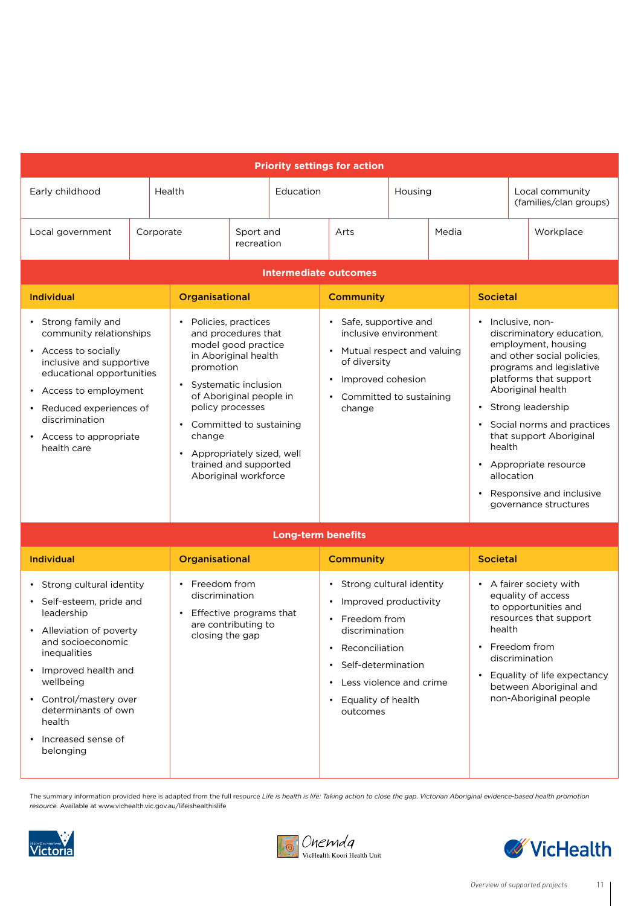| <b>Priority settings for action</b>                                                                                                                                                                                                                    |                                                                             |           |                                                                                                                                                                                                                                                                                            |                           |                                                                                                                                                                                                                               |                  |                                                                                                                                                                                                                                                                                                                                                                                           |                                                                                                                                                                                                                                 |                 |           |  |  |
|--------------------------------------------------------------------------------------------------------------------------------------------------------------------------------------------------------------------------------------------------------|-----------------------------------------------------------------------------|-----------|--------------------------------------------------------------------------------------------------------------------------------------------------------------------------------------------------------------------------------------------------------------------------------------------|---------------------------|-------------------------------------------------------------------------------------------------------------------------------------------------------------------------------------------------------------------------------|------------------|-------------------------------------------------------------------------------------------------------------------------------------------------------------------------------------------------------------------------------------------------------------------------------------------------------------------------------------------------------------------------------------------|---------------------------------------------------------------------------------------------------------------------------------------------------------------------------------------------------------------------------------|-----------------|-----------|--|--|
| Early childhood                                                                                                                                                                                                                                        |                                                                             | Health    | Education                                                                                                                                                                                                                                                                                  |                           | Housing                                                                                                                                                                                                                       |                  |                                                                                                                                                                                                                                                                                                                                                                                           | Local community<br>(families/clan groups)                                                                                                                                                                                       |                 |           |  |  |
| Local government                                                                                                                                                                                                                                       |                                                                             | Corporate |                                                                                                                                                                                                                                                                                            | Sport and<br>recreation   | Arts                                                                                                                                                                                                                          |                  | Media                                                                                                                                                                                                                                                                                                                                                                                     |                                                                                                                                                                                                                                 |                 | Workplace |  |  |
| <b>Intermediate outcomes</b>                                                                                                                                                                                                                           |                                                                             |           |                                                                                                                                                                                                                                                                                            |                           |                                                                                                                                                                                                                               |                  |                                                                                                                                                                                                                                                                                                                                                                                           |                                                                                                                                                                                                                                 |                 |           |  |  |
| <b>Individual</b>                                                                                                                                                                                                                                      |                                                                             |           | Organisational                                                                                                                                                                                                                                                                             |                           | <b>Community</b>                                                                                                                                                                                                              |                  |                                                                                                                                                                                                                                                                                                                                                                                           | <b>Societal</b>                                                                                                                                                                                                                 |                 |           |  |  |
| Strong family and<br>community relationships<br>• Access to socially<br>inclusive and supportive<br>educational opportunities<br>Access to employment<br>$\bullet$<br>Reduced experiences of<br>discrimination<br>Access to appropriate<br>health care |                                                                             | change    | Policies, practices<br>and procedures that<br>model good practice<br>in Aboriginal health<br>promotion<br>• Systematic inclusion<br>of Aboriginal people in<br>policy processes<br>• Committed to sustaining<br>Appropriately sized, well<br>trained and supported<br>Aboriginal workforce |                           | • Safe, supportive and<br>inclusive environment<br>Mutual respect and valuing<br>of diversity<br>Improved cohesion<br>$\bullet$<br>Committed to sustaining<br>$\bullet$<br>change                                             |                  | Inclusive, non-<br>$\bullet$<br>discriminatory education,<br>employment, housing<br>and other social policies,<br>programs and legislative<br>platforms that support<br>Aboriginal health<br>Strong leadership<br>$\bullet$<br>Social norms and practices<br>that support Aboriginal<br>health<br>Appropriate resource<br>allocation<br>Responsive and inclusive<br>governance structures |                                                                                                                                                                                                                                 |                 |           |  |  |
|                                                                                                                                                                                                                                                        |                                                                             |           |                                                                                                                                                                                                                                                                                            | <b>Long-term benefits</b> |                                                                                                                                                                                                                               |                  |                                                                                                                                                                                                                                                                                                                                                                                           |                                                                                                                                                                                                                                 |                 |           |  |  |
| <b>Individual</b>                                                                                                                                                                                                                                      |                                                                             |           | Organisational                                                                                                                                                                                                                                                                             |                           |                                                                                                                                                                                                                               | <b>Community</b> |                                                                                                                                                                                                                                                                                                                                                                                           |                                                                                                                                                                                                                                 | <b>Societal</b> |           |  |  |
| leadership<br>• Alleviation of poverty<br>and socioeconomic<br>inequalities<br>Improved health and<br>wellbeing<br>• Control/mastery over<br>health<br>Increased sense of<br>belonging                                                                 | • Strong cultural identity<br>Self-esteem, pride and<br>determinants of own |           | Freedom from<br>discrimination<br>Effective programs that<br>$\bullet$<br>are contributing to<br>closing the gap                                                                                                                                                                           |                           | • Strong cultural identity<br>Improved productivity<br>٠<br>Freedom from<br>discrimination<br>• Reconciliation<br>Self-determination<br>$\bullet$<br>• Less violence and crime<br>Equality of health<br>$\bullet$<br>outcomes |                  |                                                                                                                                                                                                                                                                                                                                                                                           | • A fairer society with<br>equality of access<br>to opportunities and<br>resources that support<br>health<br>• Freedom from<br>discrimination<br>Equality of life expectancy<br>between Aboriginal and<br>non-Aboriginal people |                 |           |  |  |

The summary information provided here is adapted from the full resource *Life is health is life: Taking action to close the gap. Victorian Aboriginal evidence-based health promotion resource.* Available at www.vichealth.vic.gov.au/lifeishealthislife